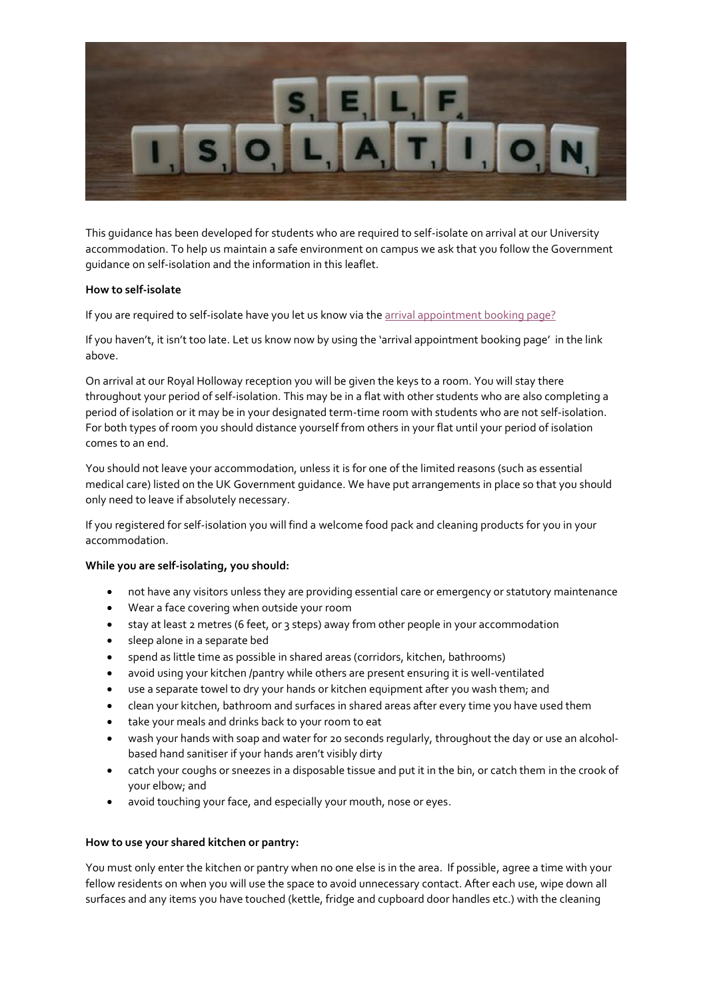

This guidance has been developed for students who are required to self-isolate on arrival at our University accommodation. To help us maintain a safe environment on campus we ask that you follow the Government guidance on self-isolation and the information in this leaflet.

# **How to self-isolate**

If you are required to self-isolate have you let us know via th[e arrival appointment booking page?](https://intranet.royalholloway.ac.uk/students/where-i-live/guidelines-for-self-isolation.aspx)

If you haven't, it isn't too late. Let us know now by using the 'arrival appointment booking page' in the link above.

On arrival at our Royal Holloway reception you will be given the keys to a room. You will stay there throughout your period of self-isolation. This may be in a flat with other students who are also completing a period of isolation or it may be in your designated term-time room with students who are not self-isolation. For both types of room you should distance yourself from others in your flat until your period of isolation comes to an end.

You should not leave your accommodation, unless it is for one of the limited reasons (such as essential medical care) listed on the UK Government guidance. We have put arrangements in place so that you should only need to leave if absolutely necessary.

If you registered for self-isolation you will find a welcome food pack and cleaning products for you in your accommodation.

# **While you are self-isolating, you should:**

- not have any visitors unless they are providing essential care or emergency or statutory maintenance
- Wear a face covering when outside your room
- stay at least 2 metres (6 feet, or 3 steps) away from other people in your accommodation
- sleep alone in a separate bed
- spend as little time as possible in shared areas (corridors, kitchen, bathrooms)
- avoid using your kitchen /pantry while others are present ensuring it is well-ventilated
- use a separate towel to dry your hands or kitchen equipment after you wash them; and
- clean your kitchen, bathroom and surfaces in shared areas after every time you have used them
- take your meals and drinks back to your room to eat
- wash your hands with soap and water for 20 seconds regularly, throughout the day or use an alcoholbased hand sanitiser if your hands aren't visibly dirty
- catch your coughs or sneezes in a disposable tissue and put it in the bin, or catch them in the crook of your elbow; and
- avoid touching your face, and especially your mouth, nose or eyes.

## **How to use your shared kitchen or pantry:**

You must only enter the kitchen or pantry when no one else is in the area. If possible, agree a time with your fellow residents on when you will use the space to avoid unnecessary contact. After each use, wipe down all surfaces and any items you have touched (kettle, fridge and cupboard door handles etc.) with the cleaning